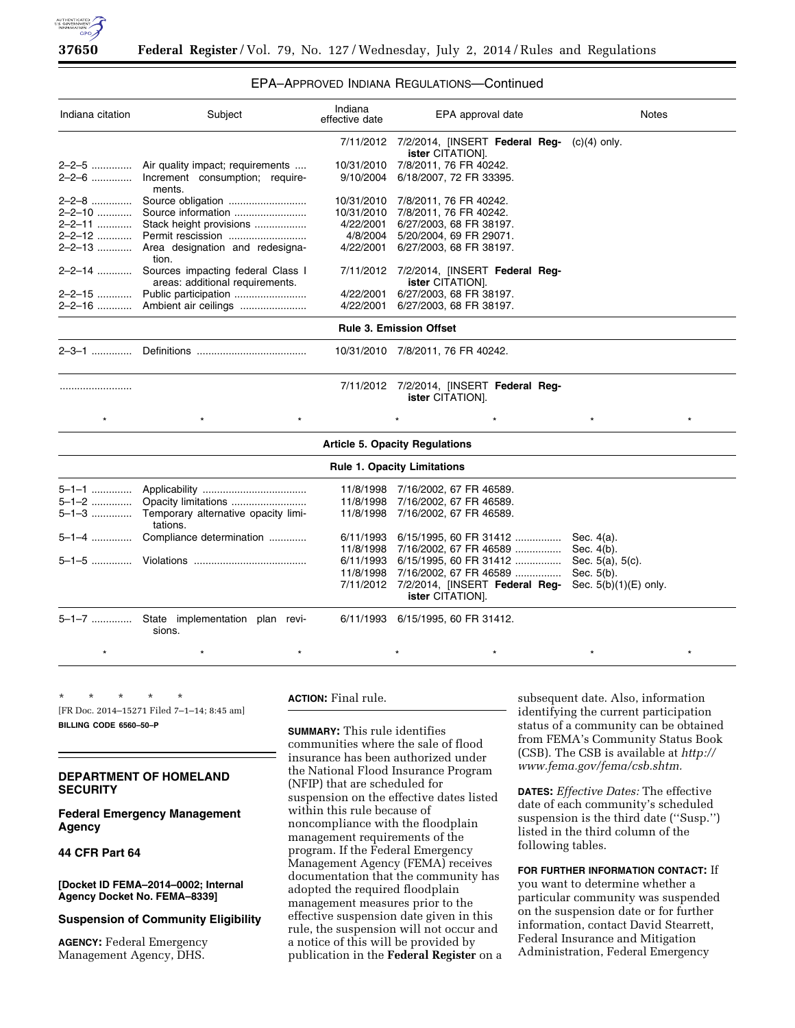

# EPA–APPROVED INDIANA REGULATIONS—Continued

| Indiana citation               | Subject                                                                      | Indiana<br>effective date | EPA approval date                                            | <b>Notes</b>   |  |  |
|--------------------------------|------------------------------------------------------------------------------|---------------------------|--------------------------------------------------------------|----------------|--|--|
|                                |                                                                              |                           | 7/11/2012 7/2/2014, [INSERT Federal Reg-<br>ister CITATION]. | $(c)(4)$ only. |  |  |
|                                | 2-2-5  Air quality impact; requirements                                      | 10/31/2010                | 7/8/2011, 76 FR 40242.                                       |                |  |  |
|                                | 2-2-6  Increment consumption; require-<br>ments.                             | 9/10/2004                 | 6/18/2007, 72 FR 33395.                                      |                |  |  |
| 2-2-8                          |                                                                              |                           | 10/31/2010 7/8/2011, 76 FR 40242.                            |                |  |  |
|                                |                                                                              | 10/31/2010                | 7/8/2011, 76 FR 40242.                                       |                |  |  |
|                                | 2-2-11  Stack height provisions                                              | 4/22/2001                 | 6/27/2003, 68 FR 38197.                                      |                |  |  |
|                                |                                                                              | 4/8/2004                  | 5/20/2004, 69 FR 29071.                                      |                |  |  |
|                                | 2-2-13  Area designation and redesigna-<br>tion.                             | 4/22/2001                 | 6/27/2003, 68 FR 38197.                                      |                |  |  |
|                                | 2-2-14  Sources impacting federal Class I<br>areas: additional requirements. |                           | 7/11/2012 7/2/2014, [INSERT Federal Reg-<br>ister CITATION]. |                |  |  |
|                                |                                                                              | 4/22/2001                 | 6/27/2003, 68 FR 38197.                                      |                |  |  |
|                                | 2-2-16  Ambient air ceilings                                                 | 4/22/2001                 | 6/27/2003, 68 FR 38197.                                      |                |  |  |
| <b>Rule 3. Emission Offset</b> |                                                                              |                           |                                                              |                |  |  |
| 2–3–1                          |                                                                              |                           | 10/31/2010 7/8/2011, 76 FR 40242.                            |                |  |  |
|                                |                                                                              | 7/11/2012                 | 7/2/2014, [INSERT Federal Reg-<br>ister CITATION].           |                |  |  |
| $\star$                        | $\star$                                                                      |                           |                                                              | $\star$        |  |  |

| <b>Article 5. Opacity Regulations</b> |                                                                                    |  |                                                                                                |                        |  |  |  |
|---------------------------------------|------------------------------------------------------------------------------------|--|------------------------------------------------------------------------------------------------|------------------------|--|--|--|
| <b>Rule 1. Opacity Limitations</b>    |                                                                                    |  |                                                                                                |                        |  |  |  |
|                                       |                                                                                    |  | 11/8/1998 7/16/2002, 67 FR 46589.                                                              |                        |  |  |  |
|                                       |                                                                                    |  | 11/8/1998 7/16/2002, 67 FR 46589.                                                              |                        |  |  |  |
|                                       | 5-1-3  Temporary alternative opacity limi-<br>tations.                             |  | 11/8/1998 7/16/2002, 67 FR 46589.                                                              |                        |  |  |  |
|                                       | 5-1-4  Compliance determination                                                    |  | 6/11/1993 6/15/1995, 60 FR 31412                                                               | Sec. $4(a)$ .          |  |  |  |
|                                       |                                                                                    |  | 11/8/1998 7/16/2002, 67 FR 46589  Sec. 4(b).                                                   |                        |  |  |  |
|                                       |                                                                                    |  | 6/11/1993 6/15/1995, 60 FR 31412                                                               | Sec. $5(a)$ , $5(c)$ . |  |  |  |
|                                       |                                                                                    |  | 11/8/1998 7/16/2002, 67 FR 46589                                                               | Sec. 5(b).             |  |  |  |
|                                       |                                                                                    |  | $7/11/2012$ $7/2/2014$ , [INSERT Federal Reg- Sec. 5(b)(1)(E) only.<br><b>ister CITATION].</b> |                        |  |  |  |
|                                       | 5-1-7  State implementation plan revi- 6/11/1993 6/15/1995, 60 FR 31412.<br>sions. |  |                                                                                                |                        |  |  |  |

\* \* \* \* \* \* \* \* \* \* \* \* \* \* \*

\* \* \* \* \* [FR Doc. 2014–15271 Filed 7–1–14; 8:45 am] **BILLING CODE 6560–50–P** 

# **DEPARTMENT OF HOMELAND SECURITY**

**Federal Emergency Management Agency** 

## **44 CFR Part 64**

**[Docket ID FEMA–2014–0002; Internal Agency Docket No. FEMA–8339]** 

#### **Suspension of Community Eligibility**

**AGENCY:** Federal Emergency Management Agency, DHS.

# **ACTION:** Final rule.

**SUMMARY:** This rule identifies communities where the sale of flood insurance has been authorized under the National Flood Insurance Program (NFIP) that are scheduled for suspension on the effective dates listed within this rule because of noncompliance with the floodplain management requirements of the program. If the Federal Emergency Management Agency (FEMA) receives documentation that the community has adopted the required floodplain management measures prior to the effective suspension date given in this rule, the suspension will not occur and a notice of this will be provided by publication in the **Federal Register** on a

subsequent date. Also, information identifying the current participation status of a community can be obtained from FEMA's Community Status Book (CSB). The CSB is available at *[http://](http://www.fema.gov/fema/csb.shtm) [www.fema.gov/fema/csb.shtm.](http://www.fema.gov/fema/csb.shtm)* 

**DATES:** *Effective Dates:* The effective date of each community's scheduled suspension is the third date (''Susp.'') listed in the third column of the following tables.

**FOR FURTHER INFORMATION CONTACT:** If you want to determine whether a particular community was suspended on the suspension date or for further information, contact David Stearrett, Federal Insurance and Mitigation Administration, Federal Emergency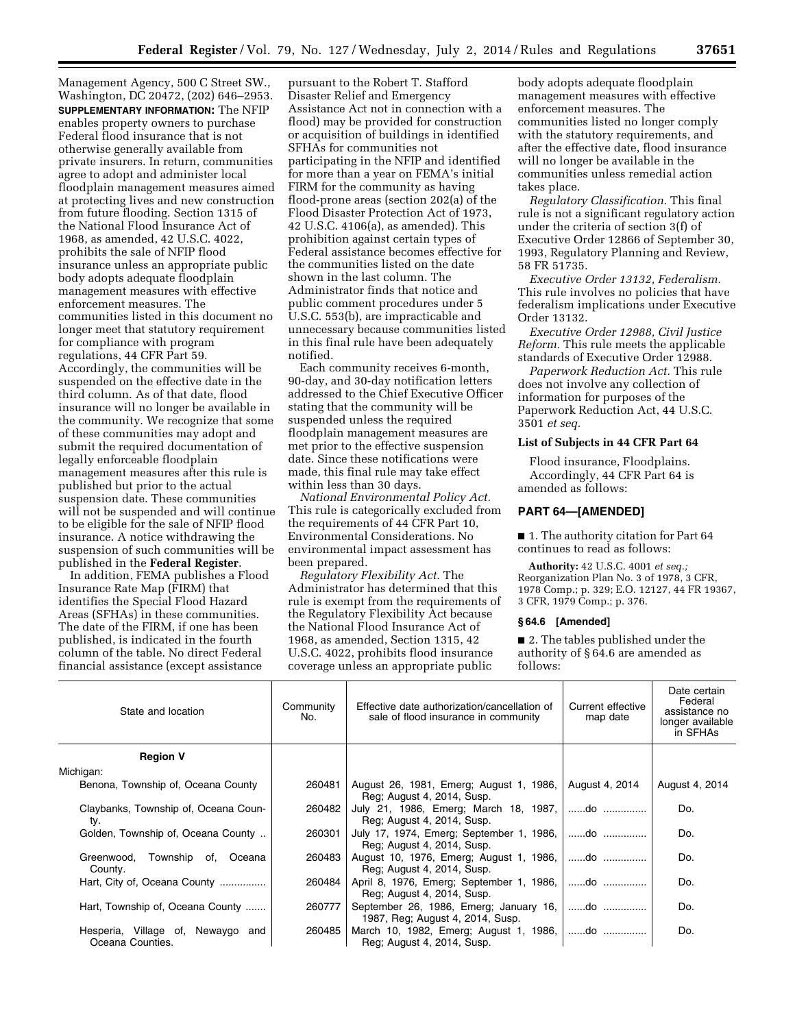Management Agency, 500 C Street SW., Washington, DC 20472, (202) 646–2953. **SUPPLEMENTARY INFORMATION:** The NFIP enables property owners to purchase Federal flood insurance that is not otherwise generally available from private insurers. In return, communities agree to adopt and administer local floodplain management measures aimed at protecting lives and new construction from future flooding. Section 1315 of the National Flood Insurance Act of 1968, as amended, 42 U.S.C. 4022, prohibits the sale of NFIP flood insurance unless an appropriate public body adopts adequate floodplain management measures with effective enforcement measures. The communities listed in this document no longer meet that statutory requirement for compliance with program regulations, 44 CFR Part 59. Accordingly, the communities will be suspended on the effective date in the third column. As of that date, flood insurance will no longer be available in the community. We recognize that some of these communities may adopt and submit the required documentation of legally enforceable floodplain management measures after this rule is published but prior to the actual suspension date. These communities will not be suspended and will continue to be eligible for the sale of NFIP flood insurance. A notice withdrawing the suspension of such communities will be published in the **Federal Register**.

In addition, FEMA publishes a Flood Insurance Rate Map (FIRM) that identifies the Special Flood Hazard Areas (SFHAs) in these communities. The date of the FIRM, if one has been published, is indicated in the fourth column of the table. No direct Federal financial assistance (except assistance

pursuant to the Robert T. Stafford Disaster Relief and Emergency Assistance Act not in connection with a flood) may be provided for construction or acquisition of buildings in identified SFHAs for communities not participating in the NFIP and identified for more than a year on FEMA's initial FIRM for the community as having flood-prone areas (section 202(a) of the Flood Disaster Protection Act of 1973, 42 U.S.C. 4106(a), as amended). This prohibition against certain types of Federal assistance becomes effective for the communities listed on the date shown in the last column. The Administrator finds that notice and public comment procedures under 5 U.S.C. 553(b), are impracticable and unnecessary because communities listed in this final rule have been adequately notified.

Each community receives 6-month, 90-day, and 30-day notification letters addressed to the Chief Executive Officer stating that the community will be suspended unless the required floodplain management measures are met prior to the effective suspension date. Since these notifications were made, this final rule may take effect within less than 30 days.

*National Environmental Policy Act.*  This rule is categorically excluded from the requirements of 44 CFR Part 10, Environmental Considerations. No environmental impact assessment has been prepared.

*Regulatory Flexibility Act.* The Administrator has determined that this rule is exempt from the requirements of the Regulatory Flexibility Act because the National Flood Insurance Act of 1968, as amended, Section 1315, 42 U.S.C. 4022, prohibits flood insurance coverage unless an appropriate public

body adopts adequate floodplain management measures with effective enforcement measures. The communities listed no longer comply with the statutory requirements, and after the effective date, flood insurance will no longer be available in the communities unless remedial action takes place.

*Regulatory Classification.* This final rule is not a significant regulatory action under the criteria of section 3(f) of Executive Order 12866 of September 30, 1993, Regulatory Planning and Review, 58 FR 51735.

*Executive Order 13132, Federalism.*  This rule involves no policies that have federalism implications under Executive Order 13132.

*Executive Order 12988, Civil Justice Reform.* This rule meets the applicable standards of Executive Order 12988.

*Paperwork Reduction Act.* This rule does not involve any collection of information for purposes of the Paperwork Reduction Act, 44 U.S.C. 3501 *et seq.* 

## **List of Subjects in 44 CFR Part 64**

Flood insurance, Floodplains. Accordingly, 44 CFR Part 64 is amended as follows:

### **PART 64—[AMENDED]**

■ 1. The authority citation for Part 64 continues to read as follows:

**Authority:** 42 U.S.C. 4001 *et seq.;*  Reorganization Plan No. 3 of 1978, 3 CFR, 1978 Comp.; p. 329; E.O. 12127, 44 FR 19367, 3 CFR, 1979 Comp.; p. 376.

#### **§ 64.6 [Amended]**

■ 2. The tables published under the authority of § 64.6 are amended as follows:

| State and location                                       | Community<br>No. | Effective date authorization/cancellation of<br>sale of flood insurance in community | Current effective<br>map date | Date certain<br>Federal<br>assistance no<br>longer available<br>in SFHAs |
|----------------------------------------------------------|------------------|--------------------------------------------------------------------------------------|-------------------------------|--------------------------------------------------------------------------|
| <b>Region V</b>                                          |                  |                                                                                      |                               |                                                                          |
| Michigan:                                                |                  |                                                                                      |                               |                                                                          |
| Benona, Township of, Oceana County                       | 260481           | August 26, 1981, Emerg; August 1, 1986, August 4, 2014<br>Reg; August 4, 2014, Susp. |                               | August 4, 2014                                                           |
| Claybanks, Township of, Oceana Coun-<br>ty.              | 260482           | July 21, 1986, Emerg; March 18, 1987, do<br>Reg; August 4, 2014, Susp.               |                               | Do.                                                                      |
| Golden, Township of, Oceana County                       | 260301           | July 17, 1974, Emerg; September 1, 1986,   do<br>Reg: August 4, 2014, Susp.          |                               | Do.                                                                      |
| Greenwood, Township of, Oceana<br>County.                | 260483           | August 10, 1976, Emerg; August 1, 1986,   do<br>Reg; August 4, 2014, Susp.           |                               | Do.                                                                      |
| Hart, City of, Oceana County                             | 260484           | April 8, 1976, Emerg; September 1, 1986,   do<br>Reg; August 4, 2014, Susp.          |                               | Do.                                                                      |
| Hart, Township of, Oceana County                         | 260777           | September 26, 1986, Emerg; January 16,   do<br>1987, Reg; August 4, 2014, Susp.      |                               | Do.                                                                      |
| Hesperia, Village of,<br>Newaygo and<br>Oceana Counties. | 260485           | March 10, 1982, Emerg; August 1, 1986,   do<br>Reg: August 4, 2014, Susp.            |                               | Do.                                                                      |